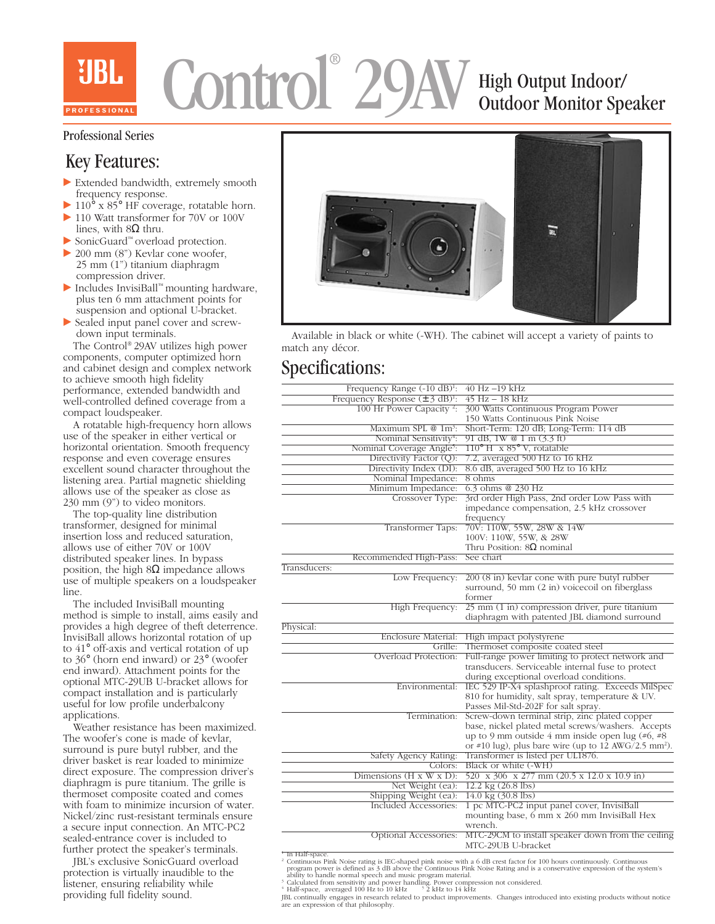# Control 29AV High Output Indoor Outdoor Monitor Speaker ®

#### Professional Series

# Key Features:

- $\blacktriangleright$  Extended bandwidth, extremely smooth frequency response.
- $\blacktriangleright$  110° x 85° HF coverage, rotatable horn.
- 110 Watt transformer for 70V or 100V lines, with  $8Ω$  thru.
- ▶ SonicGuard™ overload protection.
- $\triangleright$  200 mm (8") Kevlar cone woofer, 25 mm (1") titanium diaphragm compression driver.
- ▶ Includes InvisiBall™ mounting hardware, plus ten 6 mm attachment points for suspension and optional U-bracket.
- $\triangleright$  Sealed input panel cover and screwdown input terminals.

 The Control® 29AV utilizes high power components, computer optimized horn and cabinet design and complex network to achieve smooth high fidelity performance, extended bandwidth and well-controlled defined coverage from a compact loudspeaker.

 A rotatable high-frequency horn allows use of the speaker in either vertical or horizontal orientation. Smooth frequency response and even coverage ensures excellent sound character throughout the listening area. Partial magnetic shielding allows use of the speaker as close as 230 mm (9") to video monitors.

 The top-quality line distribution transformer, designed for minimal insertion loss and reduced saturation, allows use of either 70V or 100V distributed speaker lines. In bypass position, the high  $8\Omega$  impedance allows use of multiple speakers on a loudspeaker line.

 The included InvisiBall mounting method is simple to install, aims easily and provides a high degree of theft deterrence. InvisiBall allows horizontal rotation of up to 41° off-axis and vertical rotation of up to 36° (horn end inward) or 23° (woofer end inward). Attachment points for the optional MTC-29UB U-bracket allows for compact installation and is particularly useful for low profile underbalcony applications.

 Weather resistance has been maximized. The woofer's cone is made of kevlar, surround is pure butyl rubber, and the driver basket is rear loaded to minimize direct exposure. The compression driver's diaphragm is pure titanium. The grille is thermoset composite coated and comes with foam to minimize incursion of water. Nickel/zinc rust-resistant terminals ensure a secure input connection. An MTC-PC2 sealed-entrance cover is included to further protect the speaker's terminals.

 JBL's exclusive SonicGuard overload protection is virtually inaudible to the listener, ensuring reliability while providing full fidelity sound.



 Available in black or white (-WH). The cabinet will accept a variety of paints to match any décor.

### Specifications:

| Frequency Range $(-10 \text{ dB})^1$ :      | 40 Hz -19 kHz                                                                                                         |  |  |
|---------------------------------------------|-----------------------------------------------------------------------------------------------------------------------|--|--|
| Frequency Response $(\pm 3 \text{ dB})^1$ : | $45$ Hz $-$ 18 kHz                                                                                                    |  |  |
| 100 Hr Power Capacity <sup>2</sup> :        | 300 Watts Continuous Program Power                                                                                    |  |  |
|                                             | 150 Watts Continuous Pink Noise                                                                                       |  |  |
| Maximum SPL @ 1m <sup>3</sup> :             | Short-Term: 120 dB; Long-Term: 114 dB                                                                                 |  |  |
| Nominal Sensitivity <sup>4</sup> :          | 91 dB, 1W @ 1 m (3.3 ft)                                                                                              |  |  |
| Nominal Coverage Angle <sup>5</sup> :       | $110^{\circ}$ H x 85° V, rotatable                                                                                    |  |  |
| Directivity Factor (Q):                     | 7.2, averaged 500 Hz to 16 kHz                                                                                        |  |  |
| Directivity Index (DI):                     | 8.6 dB, averaged 500 Hz to 16 kHz                                                                                     |  |  |
| Nominal Impedance:                          | 8 ohms                                                                                                                |  |  |
| Minimum Impedance:                          | 6.3 ohms @ 230 Hz                                                                                                     |  |  |
| Crossover Type:                             | 3rd order High Pass, 2nd order Low Pass with                                                                          |  |  |
|                                             | impedance compensation, 2.5 kHz crossover                                                                             |  |  |
|                                             |                                                                                                                       |  |  |
|                                             | frequency<br>70V: 110W, 55W, 28W & 14W                                                                                |  |  |
| Transformer Taps:                           |                                                                                                                       |  |  |
|                                             | 100V: 110W, 55W, & 28W                                                                                                |  |  |
|                                             | Thru Position: $8\Omega$ nominal                                                                                      |  |  |
| Recommended High-Pass:                      | See chart                                                                                                             |  |  |
| Transducers:                                |                                                                                                                       |  |  |
| Low Frequency:                              | 200 (8 in) kevlar cone with pure butyl rubber                                                                         |  |  |
|                                             | surround, 50 mm (2 in) voicecoil on fiberglass                                                                        |  |  |
|                                             | former                                                                                                                |  |  |
| High Frequency:                             | 25 mm (1 in) compression driver, pure titanium                                                                        |  |  |
|                                             | diaphragm with patented JBL diamond surround                                                                          |  |  |
| Physical:                                   |                                                                                                                       |  |  |
|                                             | Enclosure Material: High impact polystyrene                                                                           |  |  |
| Grille:                                     | Thermoset composite coated steel                                                                                      |  |  |
| Overload Protection:                        | Full-range power limiting to protect network and                                                                      |  |  |
|                                             | transducers. Serviceable internal fuse to protect                                                                     |  |  |
|                                             | during exceptional overload conditions.                                                                               |  |  |
| Environmental:                              | IEC 529 IP-X4 splashproof rating. Exceeds MilSpec                                                                     |  |  |
|                                             | 810 for humidity, salt spray, temperature & UV.                                                                       |  |  |
|                                             | Passes Mil-Std-202F for salt spray.                                                                                   |  |  |
| Termination:                                | Screw-down terminal strip, zinc plated copper                                                                         |  |  |
|                                             | base, nickel plated metal screws/washers. Accepts                                                                     |  |  |
|                                             | up to 9 mm outside 4 mm inside open lug $(*6, **8)$                                                                   |  |  |
|                                             | or #10 lug), plus bare wire (up to 12 AWG/2.5 mm <sup>2</sup> ).                                                      |  |  |
| Safety Agency Rating:                       | Transformer is listed per UL1876.                                                                                     |  |  |
| Colors:                                     | Black or white (-WH)                                                                                                  |  |  |
| Dimensions $(H \times W \times D)$ :        | 520 x 306 x 277 mm (20.5 x 12.0 x 10.9 in)                                                                            |  |  |
| Net Weight (ea):                            | 12.2 kg (26.8 lbs)                                                                                                    |  |  |
| Shipping Weight (ea):                       | $14.0 \text{ kg} (30.8 \text{ lbs})$                                                                                  |  |  |
|                                             |                                                                                                                       |  |  |
| Included Accessories:                       | 1 pc MTC-PC2 input panel cover, InvisiBall                                                                            |  |  |
|                                             | mounting base, 6 mm x 260 mm InvisiBall Hex                                                                           |  |  |
|                                             | wrench.                                                                                                               |  |  |
| Optional Accessories:                       | MTC-29CM to install speaker down from the ceiling                                                                     |  |  |
|                                             | MTC-29UB U-bracket                                                                                                    |  |  |
| <sup>1</sup> In Half-space.                 | Continuous Pink Noise rating is IEC shaped pink poise with a 6 dB crest factor for 100 hours continuously. Continuous |  |  |

<sup>1</sup> In Hall-space.<br>
<sup>2</sup> Continuous Pink Noise rating is IEC-shaped pink noise with a 6 dB crest factor for 100 hours continuously. Continuous<br>
2 Continuous Pincome program power is defined as 3 dB above the Continuous Pink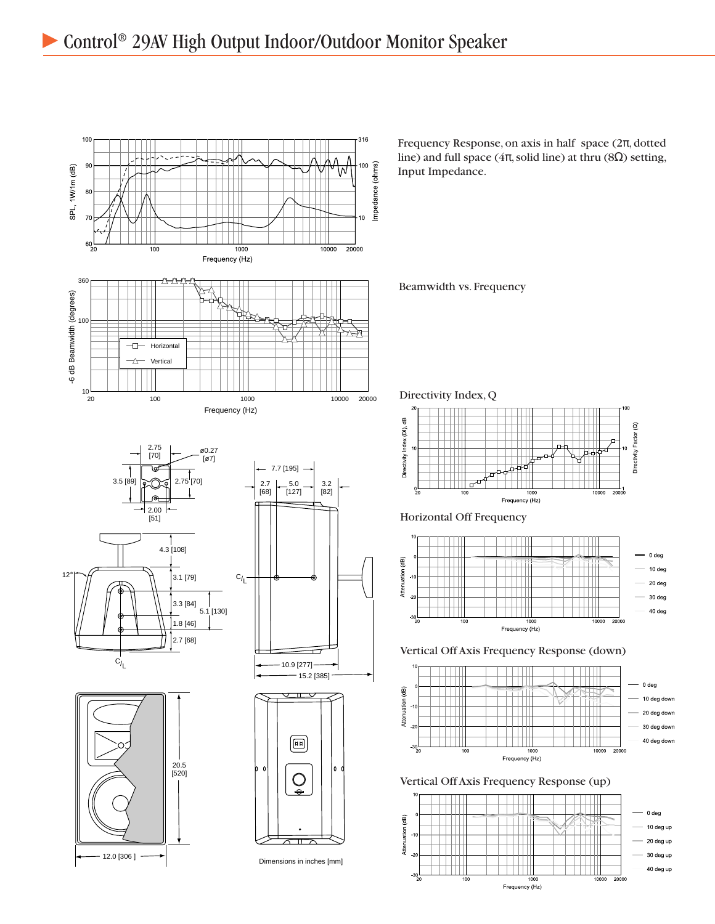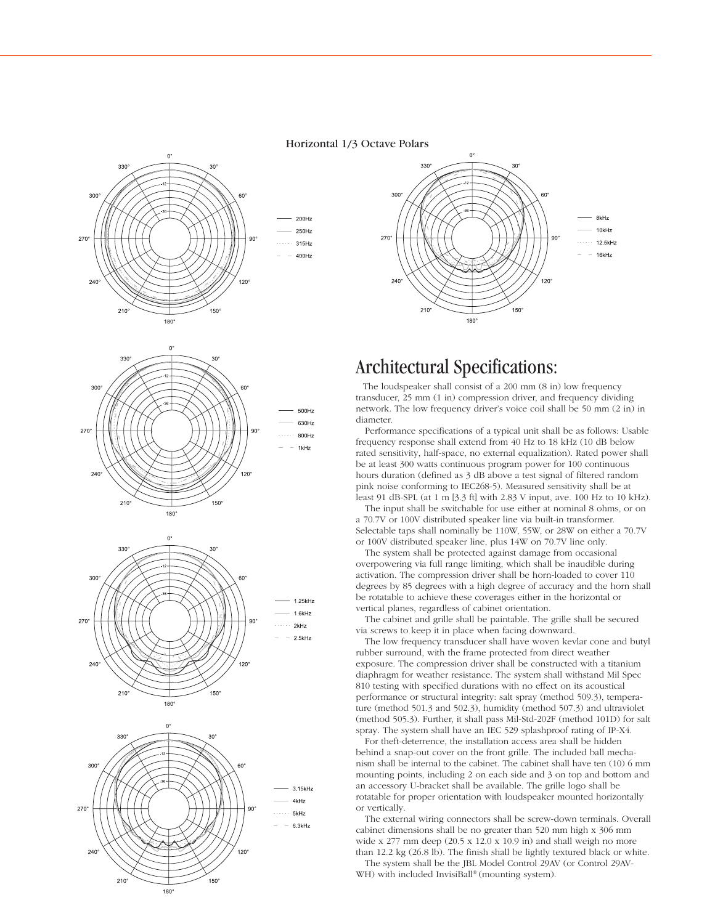#### Horizontal 1/3 Octave Polars







180



## Architectural Specifications:

 The loudspeaker shall consist of a 200 mm (8 in) low frequency transducer, 25 mm (1 in) compression driver, and frequency dividing network. The low frequency driver's voice coil shall be 50 mm (2 in) in diameter.

 Performance specifications of a typical unit shall be as follows: Usable frequency response shall extend from 40 Hz to 18 kHz (10 dB below rated sensitivity, half-space, no external equalization). Rated power shall be at least 300 watts continuous program power for 100 continuous hours duration (defined as 3 dB above a test signal of filtered random pink noise conforming to IEC268-5). Measured sensitivity shall be at least 91 dB-SPL (at 1 m [3.3 ft] with 2.83 V input, ave. 100 Hz to 10 kHz).

 The input shall be switchable for use either at nominal 8 ohms, or on a 70.7V or 100V distributed speaker line via built-in transformer. Selectable taps shall nominally be 110W, 55W, or 28W on either a 70.7V or 100V distributed speaker line, plus 14W on 70.7V line only.

 The system shall be protected against damage from occasional overpowering via full range limiting, which shall be inaudible during activation. The compression driver shall be horn-loaded to cover 110 degrees by 85 degrees with a high degree of accuracy and the horn shall be rotatable to achieve these coverages either in the horizontal or vertical planes, regardless of cabinet orientation.

 The cabinet and grille shall be paintable. The grille shall be secured via screws to keep it in place when facing downward.

 The low frequency transducer shall have woven kevlar cone and butyl rubber surround, with the frame protected from direct weather exposure. The compression driver shall be constructed with a titanium diaphragm for weather resistance. The system shall withstand Mil Spec 810 testing with specified durations with no effect on its acoustical performance or structural integrity: salt spray (method 509.3), temperature (method 501.3 and 502.3), humidity (method 507.3) and ultraviolet (method 505.3). Further, it shall pass Mil-Std-202F (method 101D) for salt spray. The system shall have an IEC 529 splashproof rating of IP-X4.

 For theft-deterrence, the installation access area shall be hidden behind a snap-out cover on the front grille. The included ball mechanism shall be internal to the cabinet. The cabinet shall have ten (10) 6 mm mounting points, including 2 on each side and 3 on top and bottom and an accessory U-bracket shall be available. The grille logo shall be rotatable for proper orientation with loudspeaker mounted horizontally or vertically.

 The external wiring connectors shall be screw-down terminals. Overall cabinet dimensions shall be no greater than 520 mm high x 306 mm wide x 277 mm deep (20.5 x 12.0 x 10.9 in) and shall weigh no more than 12.2 kg (26.8 lb). The finish shall be lightly textured black or white.

 The system shall be the JBL Model Control 29AV (or Control 29AV-WH) with included InvisiBall® (mounting system).